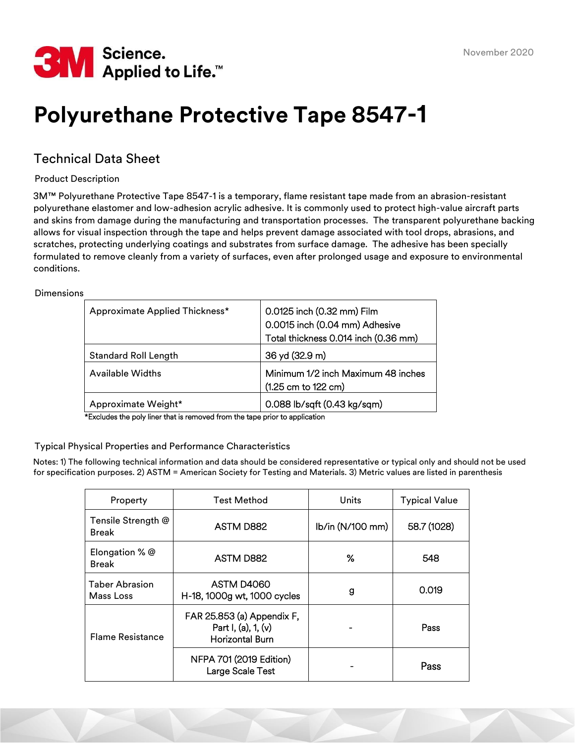

# **Polyurethane Protective Tape 8547-1**

## Technical Data Sheet

Product Description

3M™ Polyurethane Protective Tape 8547-1 is a temporary, flame resistant tape made from an abrasion-resistant polyurethane elastomer and low-adhesion acrylic adhesive. It is commonly used to protect high-value aircraft parts and skins from damage during the manufacturing and transportation processes. The transparent polyurethane backing allows for visual inspection through the tape and helps prevent damage associated with tool drops, abrasions, and scratches, protecting underlying coatings and substrates from surface damage. The adhesive has been specially formulated to remove cleanly from a variety of surfaces, even after prolonged usage and exposure to environmental conditions.

Dimensions

| Approximate Applied Thickness* | 0.0125 inch (0.32 mm) Film<br>0.0015 inch (0.04 mm) Adhesive<br>Total thickness 0.014 inch (0.36 mm) |
|--------------------------------|------------------------------------------------------------------------------------------------------|
| <b>Standard Roll Length</b>    | 36 yd (32.9 m)                                                                                       |
| <b>Available Widths</b>        | Minimum 1/2 inch Maximum 48 inches<br>(1.25 cm to 122 cm)                                            |
| Approximate Weight*            | 0.088 lb/sqft (0.43 kg/sqm)                                                                          |

\*Excludes the poly liner that is removed from the tape prior to application

Typical Physical Properties and Performance Characteristics

Notes: 1) The following technical information and data should be considered representative or typical only and should not be used for specification purposes. 2) ASTM = American Society for Testing and Materials. 3) Metric values are listed in parenthesis

| Property                           | <b>Test Method</b>                                                             | Units            | <b>Typical Value</b> |  |
|------------------------------------|--------------------------------------------------------------------------------|------------------|----------------------|--|
| Tensile Strength @<br><b>Break</b> | ASTM D882                                                                      | lb/in (N/100 mm) | 58.7 (1028)          |  |
| Elongation % @<br><b>Break</b>     | ASTM D882                                                                      | ℅                | 548                  |  |
| <b>Taber Abrasion</b><br>Mass Loss | ASTM D4060<br>H-18, 1000g wt, 1000 cycles                                      | g                | 0.019                |  |
| <b>Flame Resistance</b>            | FAR 25.853 (a) Appendix F,<br>Part I, (a), $1$ , (v)<br><b>Horizontal Burn</b> |                  | Pass                 |  |
|                                    | NFPA 701 (2019 Edition)<br>Large Scale Test                                    |                  | Pass                 |  |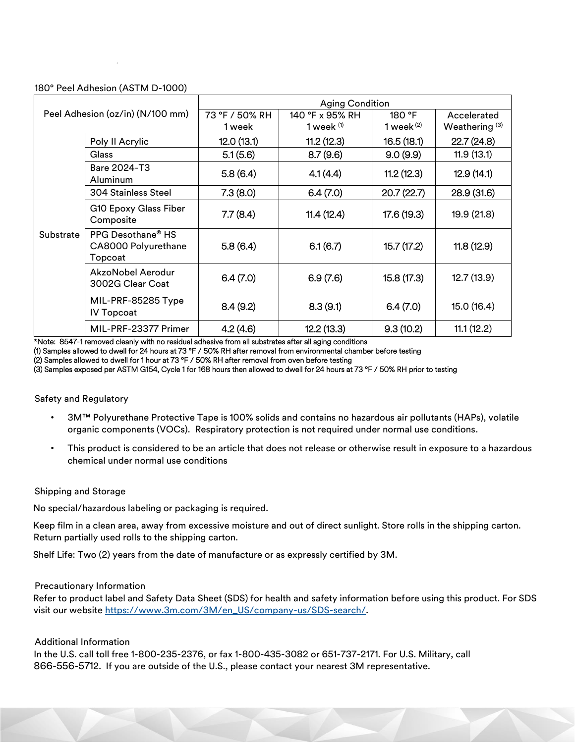### 180° Peel Adhesion (ASTM D-1000)

.

| Peel Adhesion (oz/in) (N/100 mm) |                                                                 | <b>Aging Condition</b> |                 |              |                  |
|----------------------------------|-----------------------------------------------------------------|------------------------|-----------------|--------------|------------------|
|                                  |                                                                 | 73 °F / 50% RH         | 140 °F x 95% RH | 180 °F       | Accelerated      |
|                                  |                                                                 | 1 week                 | 1 week $(1)$    | 1 week $(2)$ | Weathering $(3)$ |
|                                  | Poly II Acrylic                                                 | 12.0(13.1)             | 11.2(12.3)      | 16.5(18.1)   | 22.7(24.8)       |
| Substrate                        | Glass                                                           | 5.1(5.6)               | 8.7(9.6)        | 9.0(9.9)     | 11.9(13.1)       |
|                                  | Bare 2024-T3<br>Aluminum                                        | 5.8(6.4)               | 4.1(4.4)        | 11.2(12.3)   | 12.9(14.1)       |
|                                  | <b>304 Stainless Steel</b>                                      | 7.3(8.0)               | 6.4(7.0)        | 20.7(22.7)   | 28.9(31.6)       |
|                                  | G10 Epoxy Glass Fiber<br>Composite                              | 7.7(8.4)               | 11.4(12.4)      | 17.6 (19.3)  | 19.9 (21.8)      |
|                                  | PPG Desothane <sup>®</sup> HS<br>CA8000 Polyurethane<br>Topcoat | 5.8(6.4)               | 6.1(6.7)        | 15.7(17.2)   | 11.8(12.9)       |
|                                  | AkzoNobel Aerodur<br>3002G Clear Coat                           | 6.4(7.0)               | 6.9(7.6)        | 15.8 (17.3)  | 12.7(13.9)       |
|                                  | MIL-PRF-85285 Type<br><b>IV Topcoat</b>                         | 8.4(9.2)               | 8.3(9.1)        | 6.4(7.0)     | 15.0 (16.4)      |
|                                  | MIL-PRF-23377 Primer                                            | 4.2(4.6)               | 12.2(13.3)      | 9.3(10.2)    | 11.1(12.2)       |

\*Note: 8547-1 removed cleanly with no residual adhesive from all substrates after all aging conditions

(1) Samples allowed to dwell for 24 hours at 73 °F / 50% RH after removal from environmental chamber before testing

(2) Samples allowed to dwell for 1 hour at 73 °F / 50% RH after removal from oven before testing

(3) Samples exposed per ASTM G154, Cycle 1 for 168 hours then allowed to dwell for 24 hours at 73 °F / 50% RH prior to testing

Safety and Regulatory

- 3M™ Polyurethane Protective Tape is 100% solids and contains no hazardous air pollutants (HAPs), volatile organic components (VOCs). Respiratory protection is not required under normal use conditions.
- This product is considered to be an article that does not release or otherwise result in exposure to a hazardous chemical under normal use conditions

#### Shipping and Storage

No special/hazardous labeling or packaging is required.

Keep film in a clean area, away from excessive moisture and out of direct sunlight. Store rolls in the shipping carton. Return partially used rolls to the shipping carton.

Shelf Life: Two (2) years from the date of manufacture or as expressly certified by 3M.

#### Precautionary Information

Refer to product label and Safety Data Sheet (SDS) for health and safety information before using this product. For SDS visit our website https://www.3m.com/3M/en\_US/company-us/SDS-search/.

#### Additional Information

In the U.S. call toll free 1-800-235-2376, or fax 1-800-435-3082 or 651-737-2171. For U.S. Military, call 866-556-5712. If you are outside of the U.S., please contact your nearest 3M representative.